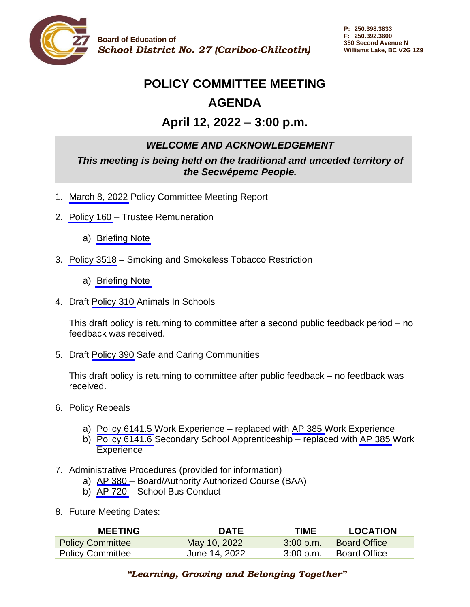

# **POLICY COMMITTEE MEETING AGENDA**

# **April 12, 2022 – 3:00 p.m.**

# *WELCOME AND ACKNOWLEDGEMENT*

*This meeting is being held on the traditional and unceded territory of the Secwépemc People.*

- 1. [March 8, 2022](#page-1-0) Policy Committee Meeting Report
- 2. [Policy 160](https://sd27storage.blob.core.windows.net/media/Default/medialib/160-trustee-remuneration.73b6d94374.pdf) Trustee Remuneration
	- a) [Briefing Note](#page-3-0)
- 3. [Policy 3518](https://sd27storage.blob.core.windows.net/media/Default/medialib/3518-smoking-smokeless-tobacco-restriction.27176e1117.pdf) Smoking and Smokeless Tobacco Restriction
	- a) [Briefing Note](#page-6-0)
- 4. Draft [Policy 310](#page-7-0) Animals In Schools

This draft policy is returning to committee after a second public feedback period – no feedback was received.

5. Draft [Policy 390](#page-9-0) Safe and Caring Communities

This draft policy is returning to committee after public feedback – no feedback was received.

- 6. Policy Repeals
	- a) [Policy 6141.5](https://sd27storage.blob.core.windows.net/media/Default/medialib/6141-5-work-experience.f68a971172.pdf) Work Experience replaced with [AP 385 W](https://sd27storage.blob.core.windows.net/media/Default/medialib/ap-385-work-experience.8b5bba4551.pdf)ork Experience
	- b) [Policy 6141.6](https://sd27storage.blob.core.windows.net/media/Default/medialib/6141-6-secondary-school-apprenticeship.8699ac1173.pdf) Secondary School Apprenticeship replaced with AP [385](https://sd27storage.blob.core.windows.net/media/Default/medialib/ap-385-work-experience.8b5bba4551.pdf) Work **Experience**
- 7. Administrative Procedures (provided for information)
	- a) [AP 380 –](https://sd27storage.blob.core.windows.net/media/Default/medialib/ap-380-board-authority-authorized-course-baa.2f92d74400.pdf) Board/Authority Authorized Course (BAA)
	- b) [AP 720](https://sd27storage.blob.core.windows.net/media/Default/medialib/ap-720-school-bus-conduct.855c614347.pdf)  School Bus Conduct
- 8. Future Meeting Dates:

| <b>MEETING</b>          | <b>DATE</b>   | <b>TIME</b>        | <b>LOCATION</b>     |
|-------------------------|---------------|--------------------|---------------------|
| <b>Policy Committee</b> | May 10, 2022  | $\sqrt{3:00}$ p.m. | <b>Board Office</b> |
| <b>Policy Committee</b> | June 14, 2022 | $3:00$ p.m.        | <b>Board Office</b> |

### *"Learning, Growing and Belonging Together"*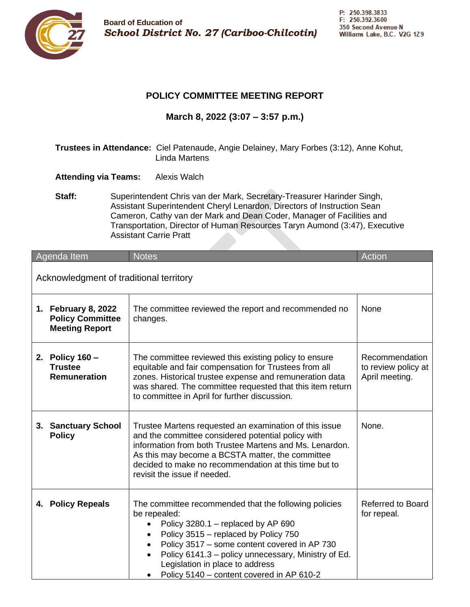<span id="page-1-0"></span>

#### **POLICY COMMITTEE MEETING REPORT**

**March 8, 2022 (3:07 – 3:57 p.m.)**

- **Trustees in Attendance:** Ciel Patenaude, Angie Delainey, Mary Forbes (3:12), Anne Kohut, Linda Martens
- **Attending via Teams:** Alexis Walch
- **Staff:** Superintendent Chris van der Mark, Secretary-Treasurer Harinder Singh, Assistant Superintendent Cheryl Lenardon, Directors of Instruction Sean Cameron, Cathy van der Mark and Dean Coder, Manager of Facilities and Transportation, Director of Human Resources Taryn Aumond (3:47), Executive Assistant Carrie Pratt

|                                         | Agenda Item                                                             | <b>Notes</b>                                                                                                                                                                                                                                                                                                                                            | Action                                                  |
|-----------------------------------------|-------------------------------------------------------------------------|---------------------------------------------------------------------------------------------------------------------------------------------------------------------------------------------------------------------------------------------------------------------------------------------------------------------------------------------------------|---------------------------------------------------------|
| Acknowledgment of traditional territory |                                                                         |                                                                                                                                                                                                                                                                                                                                                         |                                                         |
|                                         | 1. February 8, 2022<br><b>Policy Committee</b><br><b>Meeting Report</b> | The committee reviewed the report and recommended no<br>changes.                                                                                                                                                                                                                                                                                        | None                                                    |
|                                         | 2. Policy 160 -<br><b>Trustee</b><br>Remuneration                       | The committee reviewed this existing policy to ensure<br>equitable and fair compensation for Trustees from all<br>zones. Historical trustee expense and remuneration data<br>was shared. The committee requested that this item return<br>to committee in April for further discussion.                                                                 | Recommendation<br>to review policy at<br>April meeting. |
|                                         | 3. Sanctuary School<br><b>Policy</b>                                    | Trustee Martens requested an examination of this issue<br>and the committee considered potential policy with<br>information from both Trustee Martens and Ms. Lenardon.<br>As this may become a BCSTA matter, the committee<br>decided to make no recommendation at this time but to<br>revisit the issue if needed.                                    | None.                                                   |
|                                         | 4. Policy Repeals                                                       | The committee recommended that the following policies<br>be repealed:<br>Policy 3280.1 - replaced by AP 690<br>$\bullet$<br>Policy 3515 - replaced by Policy 750<br>Policy 3517 - some content covered in AP 730<br>Policy 6141.3 – policy unnecessary, Ministry of Ed.<br>Legislation in place to address<br>Policy 5140 - content covered in AP 610-2 | <b>Referred to Board</b><br>for repeal.                 |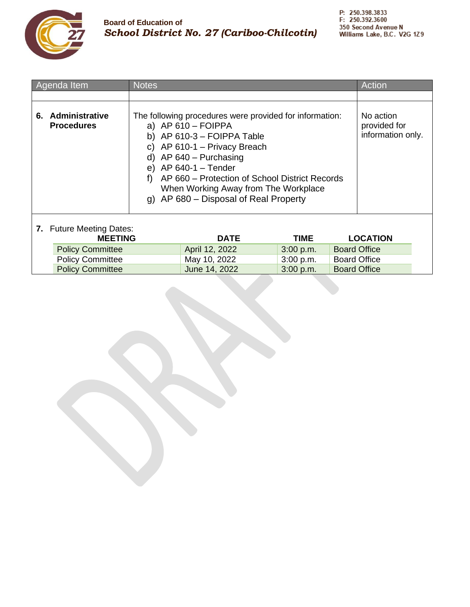

| Agenda Item                                | <b>Notes</b>                                                                                                                                                                                                                                                                                                                                     |                |                                                |  | Action              |  |
|--------------------------------------------|--------------------------------------------------------------------------------------------------------------------------------------------------------------------------------------------------------------------------------------------------------------------------------------------------------------------------------------------------|----------------|------------------------------------------------|--|---------------------|--|
|                                            |                                                                                                                                                                                                                                                                                                                                                  |                |                                                |  |                     |  |
| 6. Administrative<br><b>Procedures</b>     | The following procedures were provided for information:<br>a) $AP 610 - FOIPPA$<br>b) AP $610-3$ – FOIPPA Table<br>c) AP $610-1$ – Privacy Breach<br>d) AP $640$ – Purchasing<br>e) AP $640-1$ – Tender<br>AP 660 – Protection of School District Records<br>f)<br>When Working Away from The Workplace<br>g) AP 680 – Disposal of Real Property |                | No action<br>provided for<br>information only. |  |                     |  |
| 7. Future Meeting Dates:<br><b>MEETING</b> |                                                                                                                                                                                                                                                                                                                                                  | <b>DATE</b>    | <b>TIME</b>                                    |  | <b>LOCATION</b>     |  |
| <b>Policy Committee</b>                    |                                                                                                                                                                                                                                                                                                                                                  | April 12, 2022 | 3:00 p.m.                                      |  | <b>Board Office</b> |  |
| <b>Policy Committee</b>                    |                                                                                                                                                                                                                                                                                                                                                  | May 10, 2022   | 3:00 p.m.                                      |  | <b>Board Office</b> |  |
| <b>Policy Committee</b>                    |                                                                                                                                                                                                                                                                                                                                                  | June 14, 2022  | 3:00 p.m.                                      |  | <b>Board Office</b> |  |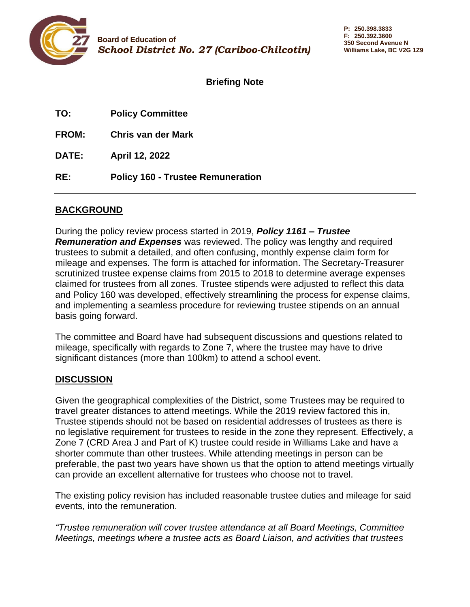<span id="page-3-0"></span>

**P: 250.398.3833 F: 250.392.3600 350 Second Avenue N Williams Lake, BC V2G 1Z9**

**Briefing Note**

| TO:          | <b>Policy Committee</b>                  |
|--------------|------------------------------------------|
| <b>FROM:</b> | Chris van der Mark                       |
| <b>DATE:</b> | April 12, 2022                           |
| RE:          | <b>Policy 160 - Trustee Remuneration</b> |

### **BACKGROUND**

During the policy review process started in 2019, *Policy 1161 – Trustee Remuneration and Expenses* was reviewed. The policy was lengthy and required trustees to submit a detailed, and often confusing, monthly expense claim form for mileage and expenses. The form is attached for information. The Secretary-Treasurer scrutinized trustee expense claims from 2015 to 2018 to determine average expenses claimed for trustees from all zones. Trustee stipends were adjusted to reflect this data and Policy 160 was developed, effectively streamlining the process for expense claims, and implementing a seamless procedure for reviewing trustee stipends on an annual basis going forward.

The committee and Board have had subsequent discussions and questions related to mileage, specifically with regards to Zone 7, where the trustee may have to drive significant distances (more than 100km) to attend a school event.

### **DISCUSSION**

Given the geographical complexities of the District, some Trustees may be required to travel greater distances to attend meetings. While the 2019 review factored this in, Trustee stipends should not be based on residential addresses of trustees as there is no legislative requirement for trustees to reside in the zone they represent. Effectively, a Zone 7 (CRD Area J and Part of K) trustee could reside in Williams Lake and have a shorter commute than other trustees. While attending meetings in person can be preferable, the past two years have shown us that the option to attend meetings virtually can provide an excellent alternative for trustees who choose not to travel.

The existing policy revision has included reasonable trustee duties and mileage for said events, into the remuneration.

*"Trustee remuneration will cover trustee attendance at all Board Meetings, Committee Meetings, meetings where a trustee acts as Board Liaison, and activities that trustees*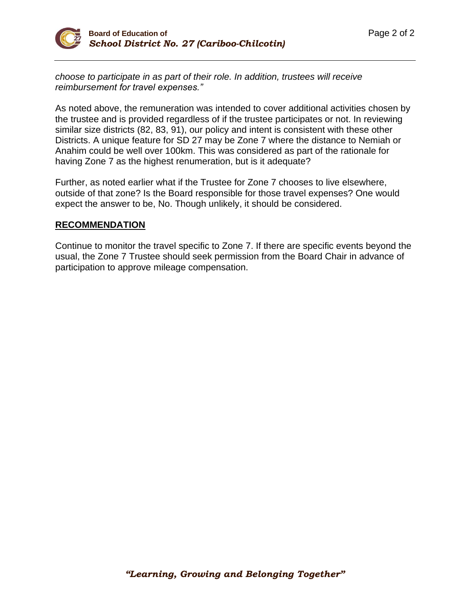*choose to participate in as part of their role. In addition, trustees will receive reimbursement for travel expenses."*

As noted above, the remuneration was intended to cover additional activities chosen by the trustee and is provided regardless of if the trustee participates or not. In reviewing similar size districts (82, 83, 91), our policy and intent is consistent with these other Districts. A unique feature for SD 27 may be Zone 7 where the distance to Nemiah or Anahim could be well over 100km. This was considered as part of the rationale for having Zone 7 as the highest renumeration, but is it adequate?

Further, as noted earlier what if the Trustee for Zone 7 chooses to live elsewhere, outside of that zone? Is the Board responsible for those travel expenses? One would expect the answer to be, No. Though unlikely, it should be considered.

#### **RECOMMENDATION**

Continue to monitor the travel specific to Zone 7. If there are specific events beyond the usual, the Zone 7 Trustee should seek permission from the Board Chair in advance of participation to approve mileage compensation.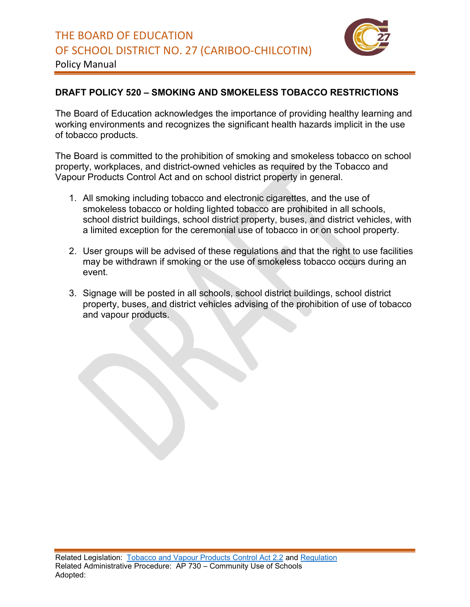

Policy Manual

# **DRAFT POLICY 520 – SMOKING AND SMOKELESS TOBACCO RESTRICTIONS**

The Board of Education acknowledges the importance of providing healthy learning and working environments and recognizes the significant health hazards implicit in the use of tobacco products.

The Board is committed to the prohibition of smoking and smokeless tobacco on school property, workplaces, and district-owned vehicles as required by the Tobacco and Vapour Products Control Act and on school district property in general.

- 1. All smoking including tobacco and electronic cigarettes, and the use of smokeless tobacco or holding lighted tobacco are prohibited in all schools, school district buildings, school district property, buses, and district vehicles, with a limited exception for the ceremonial use of tobacco in or on school property.
- 2. User groups will be advised of these regulations and that the right to use facilities may be withdrawn if smoking or the use of smokeless tobacco occurs during an event.
- 3. Signage will be posted in all schools, school district buildings, school district property, buses, and district vehicles advising of the prohibition of use of tobacco and vapour products.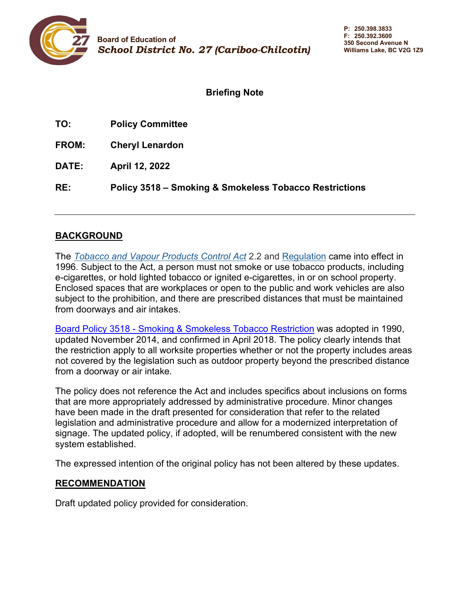<span id="page-6-0"></span>

### **Briefing Note**

| TO:          | <b>Policy Committee</b> |
|--------------|-------------------------|
| <b>FROM:</b> | <b>Cheryl Lenardon</b>  |
| <b>DATE:</b> | <b>April 12, 2022</b>   |

**RE: Policy 3518 – Smoking & Smokeless Tobacco Restrictions**

#### **BACKGROUND**

The *[Tobacco and Vapour Products Control Act](http://www.bclaws.ca/civix/document/id/complete/statreg/96451_01)* 2.2 and [Regulation](http://www.bclaws.ca/civix/document/id/complete/statreg/232_2007) came into effect in 1996. Subject to the Act, a person must not smoke or use tobacco products, including e-cigarettes, or hold lighted tobacco or ignited e-cigarettes, in or on school property. Enclosed spaces that are workplaces or open to the public and work vehicles are also subject to the prohibition, and there are prescribed distances that must be maintained from doorways and air intakes.

Board Policy 3518 - [Smoking & Smokeless Tobacco Restriction](https://sd27storage.blob.core.windows.net/media/Default/medialib/3518-smoking-smokeless-tobacco-restriction.27176e1117.pdf) was adopted in 1990, updated November 2014, and confirmed in April 2018. The policy clearly intends that the restriction apply to all worksite properties whether or not the property includes areas not covered by the legislation such as outdoor property beyond the prescribed distance from a doorway or air intake.

The policy does not reference the Act and includes specifics about inclusions on forms that are more appropriately addressed by administrative procedure. Minor changes have been made in the draft presented for consideration that refer to the related legislation and administrative procedure and allow for a modernized interpretation of signage. The updated policy, if adopted, will be renumbered consistent with the new system established.

The expressed intention of the original policy has not been altered by these updates.

#### **RECOMMENDATION**

Draft updated policy provided for consideration.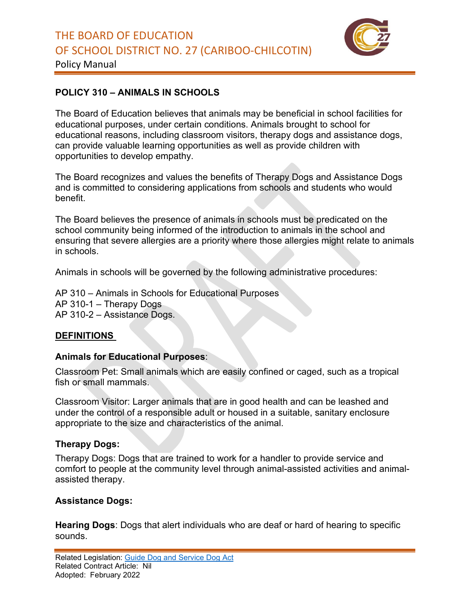

<span id="page-7-0"></span>Policy Manual

## **POLICY 310 – ANIMALS IN SCHOOLS**

The Board of Education believes that animals may be beneficial in school facilities for educational purposes, under certain conditions. Animals brought to school for educational reasons, including classroom visitors, therapy dogs and assistance dogs, can provide valuable learning opportunities as well as provide children with opportunities to develop empathy.

The Board recognizes and values the benefits of Therapy Dogs and Assistance Dogs and is committed to considering applications from schools and students who would benefit.

The Board believes the presence of animals in schools must be predicated on the school community being informed of the introduction to animals in the school and ensuring that severe allergies are a priority where those allergies might relate to animals in schools.

Animals in schools will be governed by the following administrative procedures:

AP 310 – Animals in Schools for Educational Purposes AP 310-1 – Therapy Dogs AP 310-2 – Assistance Dogs.

### **DEFINITIONS**

#### **Animals for Educational Purposes**:

Classroom Pet: Small animals which are easily confined or caged, such as a tropical fish or small mammals.

Classroom Visitor: Larger animals that are in good health and can be leashed and under the control of a responsible adult or housed in a suitable, sanitary enclosure appropriate to the size and characteristics of the animal.

### **Therapy Dogs:**

Therapy Dogs: Dogs that are trained to work for a handler to provide service and comfort to people at the community level through animal-assisted activities and animalassisted therapy.

### **Assistance Dogs:**

**Hearing Dogs**: Dogs that alert individuals who are deaf or hard of hearing to specific sounds.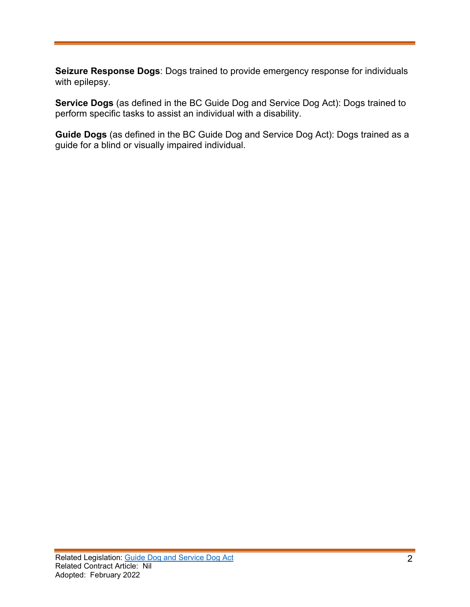**Seizure Response Dogs**: Dogs trained to provide emergency response for individuals with epilepsy.

**Service Dogs** (as defined in the BC Guide Dog and Service Dog Act): Dogs trained to perform specific tasks to assist an individual with a disability.

**Guide Dogs** (as defined in the BC Guide Dog and Service Dog Act): Dogs trained as a guide for a blind or visually impaired individual.